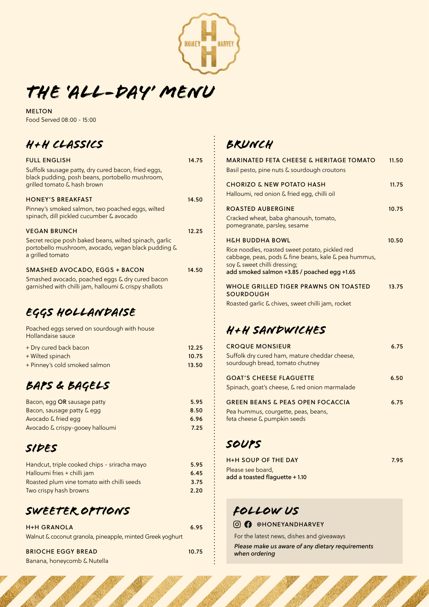

*THE 'ALL-day' menu*

MELTON Food Served 08:00 - 15:00

# *H+H CLASSICS*

| <b>FULL ENGLISH</b>                                                                                                                   | 14.75 |
|---------------------------------------------------------------------------------------------------------------------------------------|-------|
| Suffolk sausage patty, dry cured bacon, fried eggs,<br>black pudding, posh beans, portobello mushroom,<br>grilled tomato & hash brown |       |
| <b>HONEY'S BREAKFAST</b>                                                                                                              | 14.50 |
| Pinney's smoked salmon, two poached eggs, wilted<br>spinach, dill pickled cucumber & avocado                                          |       |
| <b>VEGAN BRUNCH</b>                                                                                                                   | 12.25 |
| Secret recipe posh baked beans, wilted spinach, garlic<br>portobello mushroom, avocado, vegan black pudding &<br>a grilled tomato     |       |
| <b>SMASHED AVOCADO, EGGS + BACON</b>                                                                                                  | 14.50 |
| Smashed avocado, poached eggs & dry cured bacon<br>garnished with chilli jam, halloumi & crispy shallots                              |       |
| EGGS HOLLANDAISE                                                                                                                      |       |
|                                                                                                                                       |       |

Poached eggs served on sourdough with house Hollandaise sauce + Dry cured back bacon 12.25

| Pry carda back bacon          | .     |
|-------------------------------|-------|
| + Wilted spinach              | 10.75 |
| + Pinney's cold smoked salmon | 13.50 |

## *BAPS & BAGELS*

| Bacon, egg OR sausage patty     | 5.95 |  |
|---------------------------------|------|--|
| Bacon, sausage patty & egg      | 8.50 |  |
| Avocado & fried egg             | 6.96 |  |
| Avocado & crispy-gooey halloumi | 7.25 |  |

#### *SIDES*

| Handcut, triple cooked chips - sriracha mayo | 5.95 |
|----------------------------------------------|------|
| Halloumi fries + chilli jam                  | 6.45 |
| Roasted plum vine tomato with chilli seeds   | 3.75 |
| Two crispy hash browns                       | 2.20 |

#### *SWEETer options*

| <b>H+H GRANOLA</b>                                        | 6.95  |
|-----------------------------------------------------------|-------|
| Walnut & coconut granola, pineapple, minted Greek yoghurt |       |
| <b>BRIOCHE EGGY BREAD</b>                                 | 10.75 |

Banana, honeycomb & Nutella

## *BRUNCH*

| <b>MARINATED FETA CHEESE &amp; HERITAGE TOMATO</b><br>Basil pesto, pine nuts & sourdough croutons                                                                                                                    | 11.50 |
|----------------------------------------------------------------------------------------------------------------------------------------------------------------------------------------------------------------------|-------|
| <b>CHORIZO &amp; NEW POTATO HASH</b><br>Halloumi, red onion & fried egg, chilli oil                                                                                                                                  | 11.75 |
| <b>ROASTED AUBERGINE</b><br>Cracked wheat, baba ghanoush, tomato,<br>pomegranate, parsley, sesame                                                                                                                    | 10.75 |
| <b>H&amp;H BUDDHA BOWL</b><br>Rice noodles, roasted sweet potato, pickled red<br>cabbage, peas, pods & fine beans, kale & pea hummus,<br>soy & sweet chilli dressing;<br>add smoked salmon +3.85 / poached egg +1.65 | 10.50 |
| <b>WHOLE GRILLED TIGER PRAWNS ON TOASTED</b><br><b>SOURDOUGH</b><br>Roasted garlic & chives, sweet chilli jam, rocket                                                                                                | 13.75 |
| H+H SANDWICHES                                                                                                                                                                                                       |       |
| <b>CROQUE MONSIEUR</b><br>Suffolk dry cured ham, mature cheddar cheese,<br>sourdough bread, tomato chutney                                                                                                           | 6.75  |
| <b>GOAT'S CHEESE FLAGUETTE</b><br>Spinach, goat's cheese, & red onion marmalade                                                                                                                                      | 6.50  |
| <b>GREEN BEANS &amp; PEAS OPEN FOCACCIA</b><br>Pea hummus, courgette, peas, beans,<br>feta cheese & pumpkin seeds                                                                                                    | 6.75  |

## *SOUPS*

| <b>H+H SOUP OF THE DAY</b>     | 7.95 |
|--------------------------------|------|
| Please see board,              |      |
| add a toasted flaquette + 1.10 |      |

## *Follow us*

#### **@ @HONEYANDHARVEY**

For the latest news, dishes and giveaways

*Please make us aware of any dietary requirements when ordering*